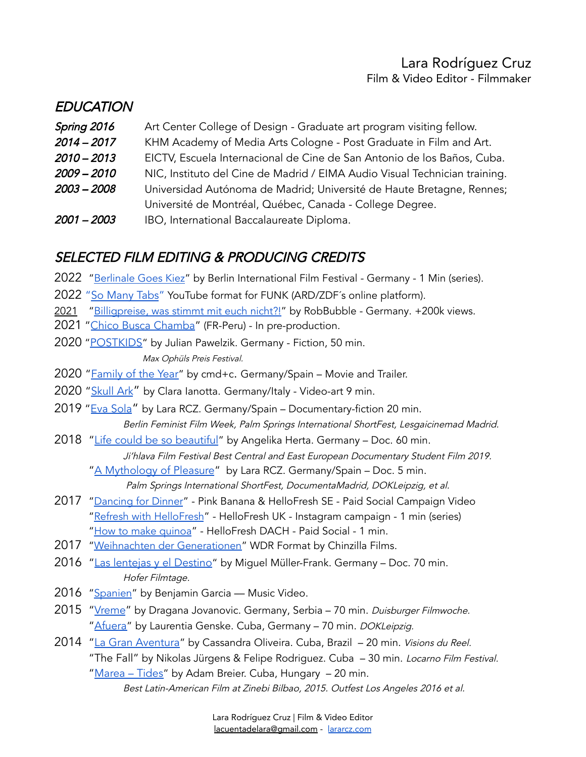## Lara Rodríguez Cruz Film & Video Editor - Filmmaker

## **EDUCATION**

- **Spring 2016** Art Center College of Design Graduate art program visiting fellow.
- 2014 2017 KHM Academy of Media Arts Cologne Post Graduate in Film and Art.
- 2010 2013 EICTV, Escuela Internacional de Cine de San Antonio de los Baños, Cuba.
- 2009 2010 NIC, Instituto del Cine de Madrid / EIMA Audio Visual Technician training.
- 2003 2008 Universidad Autónoma de Madrid; Université de Haute Bretagne, Rennes;
- Université de Montréal, Québec, Canada College Degree.
- 2001 2003 IBO, International Baccalaureate Diploma.

# SELECTED FILM EDITING & PRODUCING CREDITS

- 2022 ["Berlinale](https://youtu.be/sQDoTuoSu6s) Goes Kiez" by Berlin International Film Festival Germany 1 Min (series).
- 2022 "So [Many](https://www.youtube.com/c/SoManyTabs) Tabs" YouTube format for FUNK (ARD/ZDF´s online platform).
- 2021 ["Billigpreise,](https://www.youtube.com/watch?v=Yt9AOCCX1KY) was stimmt mit euch nicht?!" by RobBubble Germany. +200k views.
- 2021 "Chico Busca [Chamba"](https://vimeo.com/674550016) (FR-Peru) In pre-production.
- 2020 "[POSTKIDS](https://vimeo.com/490268749)" by Julian Pawelzik. Germany Fiction, 50 min.

Max Ophüls Preis Festival.

- 2020 ["Family](https://www.cmdc-company.com/de/porfolio/family-of-the-year/) of the Year" by cmd+c. Germany/Spain Movie and Trailer.
- 2020 ["Skull](https://vimeo.com/395245118?embedded=true&source=video_title&owner=103971116) Ark" by Clara Ianotta. Germany/Italy Video-art 9 min.
- 2019 "Eva [Sola](https://www.german-films.de/news/news-releases/german-short-films-at-palm-springs-2019/index.html)" by Lara RCZ. Germany/Spain Documentary-fiction 20 min. Berlin Feminist Film Week, Palm Springs International ShortFest, Lesgaicinemad Madrid.
- 2018 "Life could be so [beautiful](https://www.ji-hlava.com/filmy/zivot-by-mohl-byt-tak-krasny)" by Angelika Herta. Germany Doc. 60 min. Ji'hlava Film Festival Best Central and East European Documentary Student Film 2019.
	- "A [Mythology](https://german-documentaries.de/en_EN/films/a-mythology-of-pleasure.12265) of Pleasure" by Lara RCZ. Germany/Spain Doc. 5 min. Palm Springs International ShortFest, DocumentaMadrid, DOKLeipzig, et al.
- 2017 ["Dancing](https://www.youtube.com/watch?v=v7T6KRiuoP4) for Dinner" Pink Banana & HelloFresh SE Paid Social Campaign Video "Refresh with [HelloFresh](https://www.instagram.com/p/By-m2ttnBJf/)" - HelloFresh UK - Instagram campaign - 1 min (series) "How to make [quinoa](http://youtube.com/watch?v=li1q5aa_rh0)" - HelloFresh DACH - Paid Social - 1 min.
- 2017 "Weihnachten der [Generationen"](https://www1.wdr.de/mediathek/video/radio/wdr5/video-weihnachten-der-generationen--102.html) WDR Format by Chinzilla Films.
- 2016 "Las lentejas y el [Destino](https://www.imdb.com/title/tt7537584/reference)" by Miguel Müller-Frank. Germany Doc. 70 min. Hofer Filmtage.
- 2016 ["Spanien"](https://vimeo.com/136713656) by Benjamin Garcia Music Video.
- 2015 "[Vreme](https://www.imdb.com/title/tt7327228/reference)" by Dragana Jovanovic. Germany, Serbia 70 min. Duisburger Filmwoche. "[Afuera](https://vimeo.com/142064424)" by Laurentia Genske. Cuba, Germany - 70 min. DOKLeipzig.
- 2014 "La Gran [Aventura](https://www.imdb.com/title/tt3721534/reference)" by Cassandra Oliveira. Cuba, Brazil 20 min. Visions du Reel. "The Fall" by Nikolas Jürgens & Felipe Rodriguez. Cuba – 30 min. Locarno Film Festival. "[Marea](https://tidesthemovie.blogspot.com/) - Tides" by Adam Breier. Cuba, Hungary - 20 min.

Best Latin-American Film at Zinebi Bilbao, 2015. Outfest Los Angeles 2016 et al.